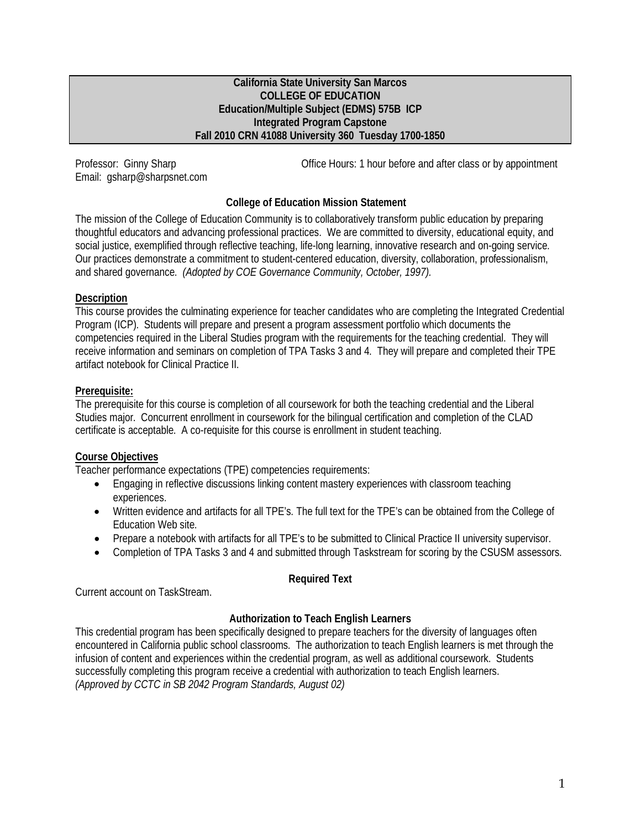#### **California State University San Marcos COLLEGE OF EDUCATION Education/Multiple Subject (EDMS) 575B ICP Integrated Program Capstone Fall 2010 CRN 41088 University 360 Tuesday 1700-1850**

Email: gsharp@sharpsnet.com

Professor: Ginny Sharp **Communist Communist Communist Communist Communist Communist Communist Communist Communist Communist Communist Communist Communist Communist Communist Communist Communist Communist Communist Communis** 

# **College of Education Mission Statement**

The mission of the College of Education Community is to collaboratively transform public education by preparing thoughtful educators and advancing professional practices. We are committed to diversity, educational equity, and social justice, exemplified through reflective teaching, life-long learning, innovative research and on-going service. Our practices demonstrate a commitment to student-centered education, diversity, collaboration, professionalism, and shared governance. *(Adopted by COE Governance Community, October, 1997).*

## **Description**

This course provides the culminating experience for teacher candidates who are completing the Integrated Credential Program (ICP). Students will prepare and present a program assessment portfolio which documents the competencies required in the Liberal Studies program with the requirements for the teaching credential. They will receive information and seminars on completion of TPA Tasks 3 and 4. They will prepare and completed their TPE artifact notebook for Clinical Practice II.

### **Prerequisite:**

The prerequisite for this course is completion of all coursework for both the teaching credential and the Liberal Studies major. Concurrent enrollment in coursework for the bilingual certification and completion of the CLAD certificate is acceptable. A co-requisite for this course is enrollment in student teaching.

## **Course Objectives**

Teacher performance expectations (TPE) competencies requirements:

- Engaging in reflective discussions linking content mastery experiences with classroom teaching experiences.
- Written evidence and artifacts for all TPE's. The full text for the TPE's can be obtained from the College of Education Web site.
- Prepare a notebook with artifacts for all TPE's to be submitted to Clinical Practice II university supervisor.
- Completion of TPA Tasks 3 and 4 and submitted through Taskstream for scoring by the CSUSM assessors.

## **Required Text**

Current account on TaskStream.

## **Authorization to Teach English Learners**

This credential program has been specifically designed to prepare teachers for the diversity of languages often encountered in California public school classrooms. The authorization to teach English learners is met through the infusion of content and experiences within the credential program, as well as additional coursework. Students successfully completing this program receive a credential with authorization to teach English learners. *(Approved by CCTC in SB 2042 Program Standards, August 02)*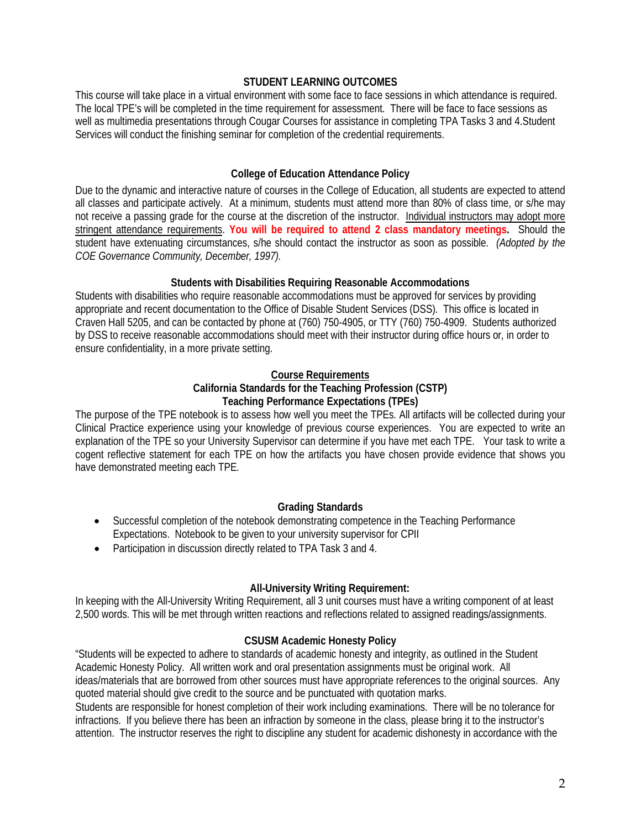#### **STUDENT LEARNING OUTCOMES**

This course will take place in a virtual environment with some face to face sessions in which attendance is required. The local TPE's will be completed in the time requirement for assessment. There will be face to face sessions as well as multimedia presentations through Cougar Courses for assistance in completing TPA Tasks 3 and 4.Student Services will conduct the finishing seminar for completion of the credential requirements.

## **College of Education Attendance Policy**

Due to the dynamic and interactive nature of courses in the College of Education, all students are expected to attend all classes and participate actively. At a minimum, students must attend more than 80% of class time, or s/he may not receive a passing grade for the course at the discretion of the instructor. Individual instructors may adopt more stringent attendance requirements. **You will be required to attend 2 class mandatory meetings.** Should the student have extenuating circumstances, s/he should contact the instructor as soon as possible. *(Adopted by the COE Governance Community, December, 1997).*

### **Students with Disabilities Requiring Reasonable Accommodations**

Students with disabilities who require reasonable accommodations must be approved for services by providing appropriate and recent documentation to the Office of Disable Student Services (DSS). This office is located in Craven Hall 5205, and can be contacted by phone at (760) 750-4905, or TTY (760) 750-4909. Students authorized by DSS to receive reasonable accommodations should meet with their instructor during office hours or, in order to ensure confidentiality, in a more private setting.

#### **Course Requirements**

#### **California Standards for the Teaching Profession (CSTP) Teaching Performance Expectations (TPEs)**

The purpose of the TPE notebook is to assess how well you meet the TPEs. All artifacts will be collected during your Clinical Practice experience using your knowledge of previous course experiences. You are expected to write an explanation of the TPE so your University Supervisor can determine if you have met each TPE. Your task to write a cogent reflective statement for each TPE on how the artifacts you have chosen provide evidence that shows you have demonstrated meeting each TPE.

## **Grading Standards**

- Successful completion of the notebook demonstrating competence in the Teaching Performance Expectations. Notebook to be given to your university supervisor for CPII
- Participation in discussion directly related to TPA Task 3 and 4.

## **All-University Writing Requirement:**

In keeping with the All-University Writing Requirement, all 3 unit courses must have a writing component of at least 2,500 words. This will be met through written reactions and reflections related to assigned readings/assignments.

#### **CSUSM Academic Honesty Policy**

"Students will be expected to adhere to standards of academic honesty and integrity, as outlined in the Student Academic Honesty Policy. All written work and oral presentation assignments must be original work. All ideas/materials that are borrowed from other sources must have appropriate references to the original sources. Any quoted material should give credit to the source and be punctuated with quotation marks.

Students are responsible for honest completion of their work including examinations. There will be no tolerance for infractions. If you believe there has been an infraction by someone in the class, please bring it to the instructor's attention. The instructor reserves the right to discipline any student for academic dishonesty in accordance with the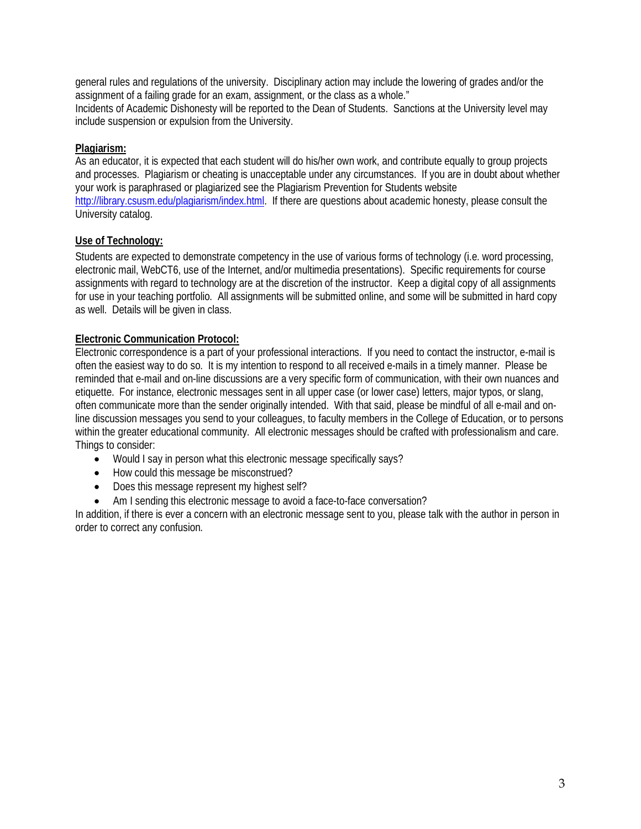general rules and regulations of the university. Disciplinary action may include the lowering of grades and/or the assignment of a failing grade for an exam, assignment, or the class as a whole."

Incidents of Academic Dishonesty will be reported to the Dean of Students. Sanctions at the University level may include suspension or expulsion from the University.

# **Plagiarism:**

As an educator, it is expected that each student will do his/her own work, and contribute equally to group projects and processes. Plagiarism or cheating is unacceptable under any circumstances. If you are in doubt about whether your work is paraphrased or plagiarized see the Plagiarism Prevention for Students website [http://library.csusm.edu/plagiarism/index.html.](http://library.csusm.edu/plagiarism/index.html) If there are questions about academic honesty, please consult the University catalog.

# **Use of Technology:**

Students are expected to demonstrate competency in the use of various forms of technology (i.e. word processing, electronic mail, WebCT6, use of the Internet, and/or multimedia presentations). Specific requirements for course assignments with regard to technology are at the discretion of the instructor. Keep a digital copy of all assignments for use in your teaching portfolio. All assignments will be submitted online, and some will be submitted in hard copy as well. Details will be given in class.

# **Electronic Communication Protocol:**

Electronic correspondence is a part of your professional interactions. If you need to contact the instructor, e-mail is often the easiest way to do so. It is my intention to respond to all received e-mails in a timely manner. Please be reminded that e-mail and on-line discussions are a very specific form of communication, with their own nuances and etiquette. For instance, electronic messages sent in all upper case (or lower case) letters, major typos, or slang, often communicate more than the sender originally intended. With that said, please be mindful of all e-mail and online discussion messages you send to your colleagues, to faculty members in the College of Education, or to persons within the greater educational community. All electronic messages should be crafted with professionalism and care. Things to consider:

- Would I say in person what this electronic message specifically says?
- How could this message be misconstrued?
- Does this message represent my highest self?
- Am I sending this electronic message to avoid a face-to-face conversation?

In addition, if there is ever a concern with an electronic message sent to you, please talk with the author in person in order to correct any confusion.